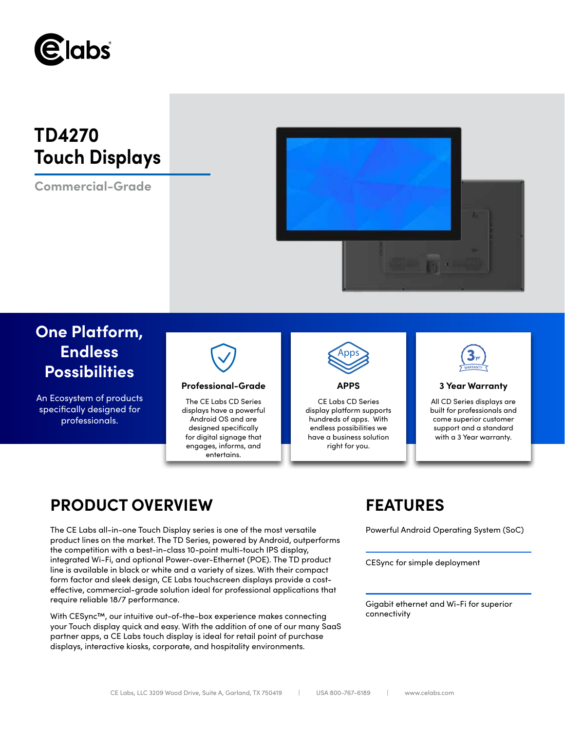

# **TD4270 Touch Displays**

**Commercial-Grade**



## **One Platform, Endless Possibilities**

An Ecosystem of products specifically designed for professionals.



### **Professional-Grade APPS 3 Year Warranty**

The CE Labs CD Series displays have a powerful Android OS and are designed specifically for digital signage that engages, informs, and entertains.



CE Labs CD Series display platform supports hundreds of apps. With endless possibilities we have a business solution right for you.



All CD Series displays are built for professionals and come superior customer support and a standard with a 3 Year warranty.

## **PRODUCT OVERVIEW FEATURES**

The CE Labs all-in-one Touch Display series is one of the most versatile Powerful Android Operating System (SoC) product lines on the market. The TD Series, powered by Android, outperforms the competition with a best-in-class 10-point multi-touch IPS display, integrated Wi-Fi, and optional Power-over-Ethernet (POE). The TD product line is available in black or white and a variety of sizes. With their compact form factor and sleek design, CE Labs touchscreen displays provide a costeffective, commercial-grade solution ideal for professional applications that require reliable 18/7 performance.

With CESync™, our intuitive out-of-the-box experience makes connecting your Touch display quick and easy. With the addition of one of our many SaaS partner apps, a CE Labs touch display is ideal for retail point of purchase displays, interactive kiosks, corporate, and hospitality environments.

CESync for simple deployment

Gigabit ethernet and Wi-Fi for superior connectivity